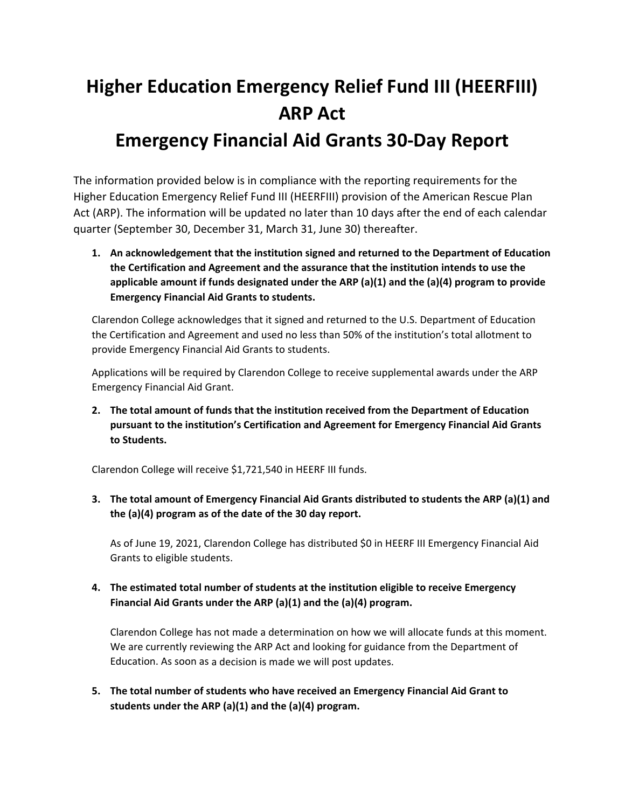## **Higher Education Emergency Relief Fund III (HEERFIII) ARP Act Emergency Financial Aid Grants 30‐Day Report**

The information provided below is in compliance with the reporting requirements for the Higher Education Emergency Relief Fund III (HEERFIII) provision of the American Rescue Plan Act (ARP). The information will be updated no later than 10 days after the end of each calendar quarter (September 30, December 31, March 31, June 30) thereafter.

**1. An acknowledgement that the institution signed and returned to the Department of Education the Certification and Agreement and the assurance that the institution intends to use the applicable amount if funds designated under the ARP (a)(1) and the (a)(4) program to provide Emergency Financial Aid Grants to students.**

Clarendon College acknowledges that it signed and returned to the U.S. Department of Education the Certification and Agreement and used no less than 50% of the institution's total allotment to provide Emergency Financial Aid Grants to students.

Applications will be required by Clarendon College to receive supplemental awards under the ARP Emergency Financial Aid Grant.

**2. The total amount of funds that the institution received from the Department of Education pursuant to the institution's Certification and Agreement for Emergency Financial Aid Grants to Students.** 

Clarendon College will receive \$1,721,540 in HEERF III funds.

**3. The total amount of Emergency Financial Aid Grants distributed to students the ARP (a)(1) and the (a)(4) program as of the date of the 30 day report.**

As of June 19, 2021, Clarendon College has distributed \$0 in HEERF III Emergency Financial Aid Grants to eligible students.

**4. The estimated total number of students at the institution eligible to receive Emergency Financial Aid Grants under the ARP (a)(1) and the (a)(4) program.**

Clarendon College has not made a determination on how we will allocate funds at this moment. We are currently reviewing the ARP Act and looking for guidance from the Department of Education. As soon as a decision is made we will post updates.

**5. The total number of students who have received an Emergency Financial Aid Grant to students under the ARP (a)(1) and the (a)(4) program.**